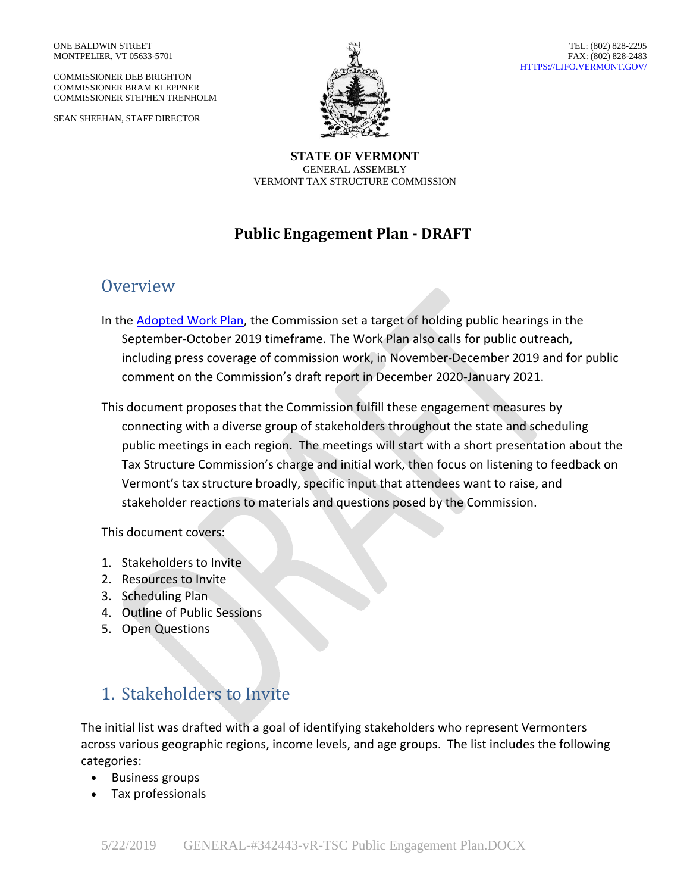COMMISSIONER DEB BRIGHTON COMMISSIONER BRAM KLEPPNER COMMISSIONER STEPHEN TRENHOLM

SEAN SHEEHAN, STAFF DIRECTOR



**STATE OF VERMONT** GENERAL ASSEMBLY VERMONT TAX STRUCTURE COMMISSION

### **Public Engagement Plan - DRAFT**

### **Overview**

- In the **[Adopted Work](https://ljfo.vermont.gov/assets/Uploads/0a4632f02d/GENERAL-339096-v1-TSC_Adopted_Work_Plan.pdf) Plan**, the Commission set a target of holding public hearings in the September-October 2019 timeframe. The Work Plan also calls for public outreach, including press coverage of commission work, in November-December 2019 and for public comment on the Commission's draft report in December 2020-January 2021.
- This document proposes that the Commission fulfill these engagement measures by connecting with a diverse group of stakeholders throughout the state and scheduling public meetings in each region. The meetings will start with a short presentation about the Tax Structure Commission's charge and initial work, then focus on listening to feedback on Vermont's tax structure broadly, specific input that attendees want to raise, and stakeholder reactions to materials and questions posed by the Commission.

This document covers:

- 1. Stakeholders to Invite
- 2. Resources to Invite
- 3. Scheduling Plan
- 4. Outline of Public Sessions
- 5. Open Questions

## 1. Stakeholders to Invite

The initial list was drafted with a goal of identifying stakeholders who represent Vermonters across various geographic regions, income levels, and age groups. The list includes the following categories:

- Business groups
- Tax professionals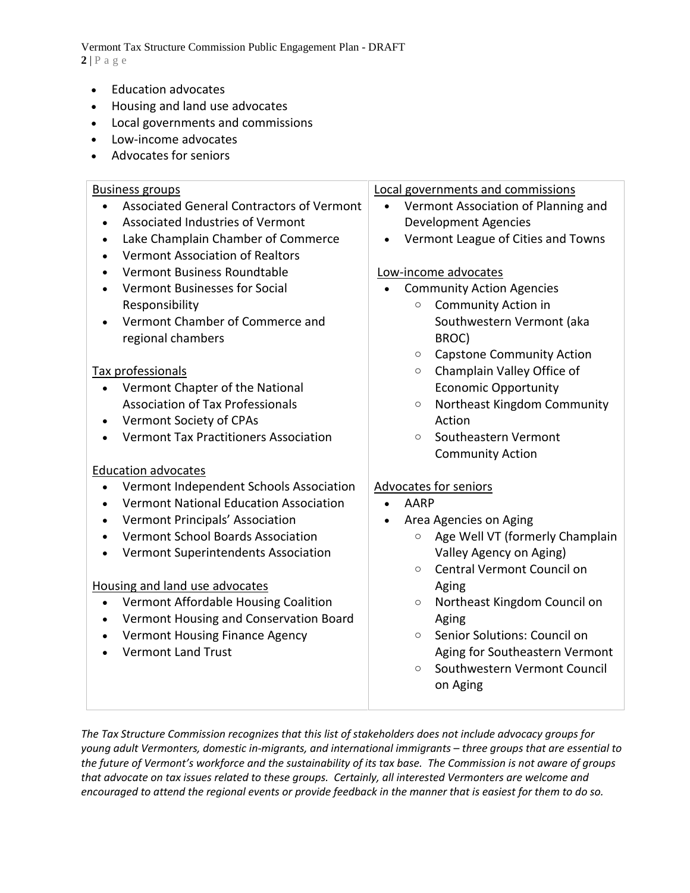Vermont Tax Structure Commission Public Engagement Plan - DRAFT  $2|P \text{ a } g e$ 

- Education advocates
- Housing and land use advocates
- Local governments and commissions
- Low-income advocates
- Advocates for seniors

#### Business groups • Associated General Contractors of Vermont • Associated Industries of Vermont • Lake Champlain Chamber of Commerce • Vermont Association of Realtors • Vermont Business Roundtable • Vermont Businesses for Social Responsibility • Vermont Chamber of Commerce and regional chambers Tax professionals • Vermont Chapter of the National Association of Tax Professionals • Vermont Society of CPAs • Vermont Tax Practitioners Association Education advocates • Vermont Independent Schools Association • Vermont National Education Association • Vermont Principals' Association • Vermont School Boards Association • Vermont Superintendents Association Housing and land use advocates • Vermont Affordable Housing Coalition • Vermont Housing and Conservation Board • Vermont Housing Finance Agency • Vermont Land Trust Local governments and commissions • Vermont Association of Planning and Development Agencies • Vermont League of Cities and Towns Low-income advocates • Community Action Agencies o Community Action in Southwestern Vermont (aka BROC) o Capstone Community Action o Champlain Valley Office of Economic Opportunity o Northeast Kingdom Community Action o Southeastern Vermont Community Action Advocates for seniors • AARP • Area Agencies on Aging o Age Well VT (formerly Champlain Valley Agency on Aging) o Central Vermont Council on Aging o Northeast Kingdom Council on Aging o Senior Solutions: Council on Aging for Southeastern Vermont o Southwestern Vermont Council on Aging

*The Tax Structure Commission recognizes that this list of stakeholders does not include advocacy groups for young adult Vermonters, domestic in-migrants, and international immigrants – three groups that are essential to the future of Vermont's workforce and the sustainability of its tax base. The Commission is not aware of groups that advocate on tax issues related to these groups. Certainly, all interested Vermonters are welcome and encouraged to attend the regional events or provide feedback in the manner that is easiest for them to do so.*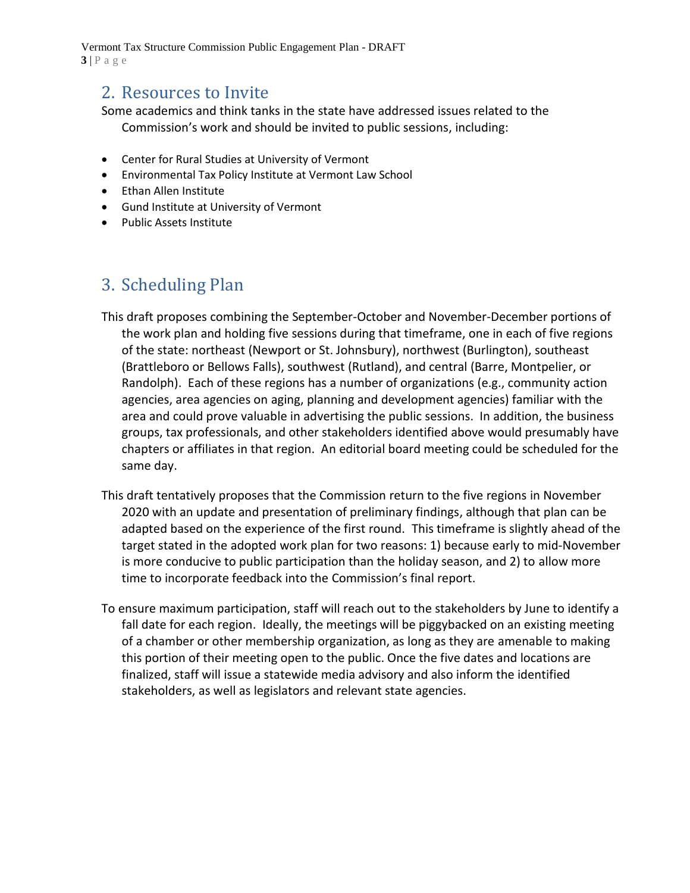Vermont Tax Structure Commission Public Engagement Plan - DRAFT **3** | P a g e

### 2. Resources to Invite

Some academics and think tanks in the state have addressed issues related to the Commission's work and should be invited to public sessions, including:

- Center for Rural Studies at University of Vermont
- Environmental Tax Policy Institute at Vermont Law School
- Ethan Allen Institute
- Gund Institute at University of Vermont
- Public Assets Institute

# 3. Scheduling Plan

- This draft proposes combining the September-October and November-December portions of the work plan and holding five sessions during that timeframe, one in each of five regions of the state: northeast (Newport or St. Johnsbury), northwest (Burlington), southeast (Brattleboro or Bellows Falls), southwest (Rutland), and central (Barre, Montpelier, or Randolph). Each of these regions has a number of organizations (e.g., community action agencies, area agencies on aging, planning and development agencies) familiar with the area and could prove valuable in advertising the public sessions. In addition, the business groups, tax professionals, and other stakeholders identified above would presumably have chapters or affiliates in that region. An editorial board meeting could be scheduled for the same day.
- This draft tentatively proposes that the Commission return to the five regions in November 2020 with an update and presentation of preliminary findings, although that plan can be adapted based on the experience of the first round. This timeframe is slightly ahead of the target stated in the adopted work plan for two reasons: 1) because early to mid-November is more conducive to public participation than the holiday season, and 2) to allow more time to incorporate feedback into the Commission's final report.
- To ensure maximum participation, staff will reach out to the stakeholders by June to identify a fall date for each region. Ideally, the meetings will be piggybacked on an existing meeting of a chamber or other membership organization, as long as they are amenable to making this portion of their meeting open to the public. Once the five dates and locations are finalized, staff will issue a statewide media advisory and also inform the identified stakeholders, as well as legislators and relevant state agencies.